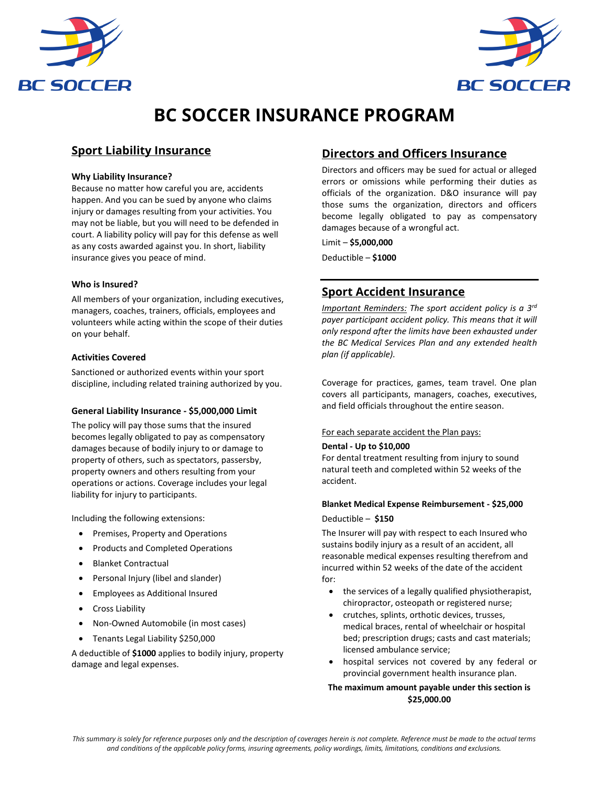



# **BC SOCCER INSURANCE PROGRAM**

# **Sport Liability Insurance**

#### **Why Liability Insurance?**

Because no matter how careful you are, accidents happen. And you can be sued by anyone who claims injury or damages resulting from your activities. You may not be liable, but you will need to be defended in court. A liability policy will pay for this defense as well as any costs awarded against you. In short, liability insurance gives you peace of mind.

## **Who is Insured?**

All members of your organization, including executives, managers, coaches, trainers, officials, employees and volunteers while acting within the scope of their duties on your behalf.

## **Activities Covered**

Sanctioned or authorized events within your sport discipline, including related training authorized by you.

# **General Liability Insurance - \$5,000,000 Limit**

The policy will pay those sums that the insured becomes legally obligated to pay as compensatory damages because of bodily injury to or damage to property of others, such as spectators, passersby, property owners and others resulting from your operations or actions. Coverage includes your legal liability for injury to participants.

Including the following extensions:

- Premises, Property and Operations
- Products and Completed Operations
- Blanket Contractual
- Personal Injury (libel and slander)
- Employees as Additional Insured
- Cross Liability
- Non-Owned Automobile (in most cases)
- Tenants Legal Liability \$250,000

A deductible of **\$1000** applies to bodily injury, property damage and legal expenses.

# **Directors and Officers Insurance**

Directors and officers may be sued for actual or alleged errors or omissions while performing their duties as officials of the organization. D&O insurance will pay those sums the organization, directors and officers become legally obligated to pay as compensatory damages because of a wrongful act.

Limit – **\$5,000,000** Deductible – **\$1000**

# **Sport Accident Insurance**

*Important Reminders: The sport accident policy is a 3rd payer participant accident policy. This means that it will only respond after the limits have been exhausted under the BC Medical Services Plan and any extended health plan (if applicable).*

Coverage for practices, games, team travel. One plan covers all participants, managers, coaches, executives, and field officials throughout the entire season.

#### For each separate accident the Plan pays:

#### **Dental - Up to \$10,000**

For dental treatment resulting from injury to sound natural teeth and completed within 52 weeks of the accident.

# **Blanket Medical Expense Reimbursement - \$25,000**

Deductible – **\$150** 

The Insurer will pay with respect to each Insured who sustains bodily injury as a result of an accident, all reasonable medical expenses resulting therefrom and incurred within 52 weeks of the date of the accident for:

- the services of a legally qualified physiotherapist, chiropractor, osteopath or registered nurse;
- crutches, splints, orthotic devices, trusses, medical braces, rental of wheelchair or hospital bed; prescription drugs; casts and cast materials; licensed ambulance service;
- hospital services not covered by any federal or provincial government health insurance plan.

## **The maximum amount payable under this section is \$25,000.00**